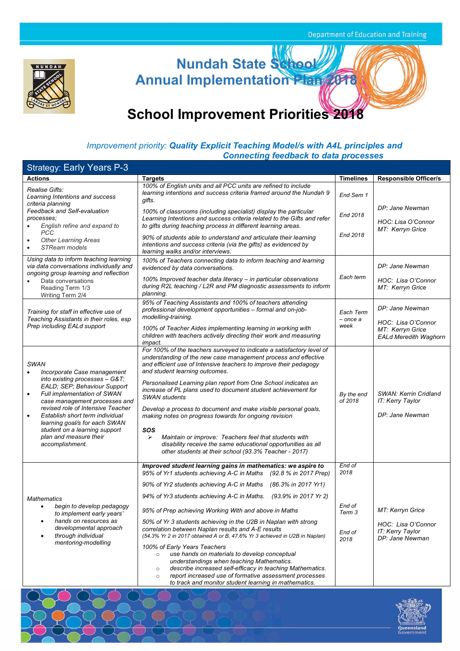

**Nundah State School Annual Implementation Plan 2018**

# **School Improvement Priorities 2018**

### *Improvement priority: Quality Explicit Teaching Model/s with A4L principles and Connecting feedback to data processes*

| <b>Strategy: Early Years P-3</b>                                                                                                                                                                                                                                                                                                                                                                  |                                                                                                                                                                                                                                                                                                                                                                                                                                                                                                                                                                                                                                                                                                                                                                                                                                                                                         |                                                      |                                                                               |
|---------------------------------------------------------------------------------------------------------------------------------------------------------------------------------------------------------------------------------------------------------------------------------------------------------------------------------------------------------------------------------------------------|-----------------------------------------------------------------------------------------------------------------------------------------------------------------------------------------------------------------------------------------------------------------------------------------------------------------------------------------------------------------------------------------------------------------------------------------------------------------------------------------------------------------------------------------------------------------------------------------------------------------------------------------------------------------------------------------------------------------------------------------------------------------------------------------------------------------------------------------------------------------------------------------|------------------------------------------------------|-------------------------------------------------------------------------------|
| <b>Actions</b>                                                                                                                                                                                                                                                                                                                                                                                    | <b>Targets</b>                                                                                                                                                                                                                                                                                                                                                                                                                                                                                                                                                                                                                                                                                                                                                                                                                                                                          | <b>Timelines</b>                                     | <b>Responsible Officer/s</b>                                                  |
| Realise Gifts:<br>Learning Intentions and success<br>criteria planning                                                                                                                                                                                                                                                                                                                            | 100% of English units and all PCC units are refined to include<br>learning intentions and success criteria framed around the Nundah 9<br>gifts.                                                                                                                                                                                                                                                                                                                                                                                                                                                                                                                                                                                                                                                                                                                                         | End Sem 1                                            |                                                                               |
| Feedback and Self-evaluation<br>processes;<br>English refine and expand to                                                                                                                                                                                                                                                                                                                        | 100% of classrooms (including specialist) display the particular<br>Learning Intentions and success criteria related to the Gifts and refer<br>to gifts during teaching process in different learning areas.                                                                                                                                                                                                                                                                                                                                                                                                                                                                                                                                                                                                                                                                            | End 2018                                             | DP: Jane Newman<br>HOC: Lisa O'Connor                                         |
| <b>PCC</b><br><b>Other Learning Areas</b><br>STReam models<br>$\bullet$                                                                                                                                                                                                                                                                                                                           | 90% of students able to understand and articulate their learning<br>intentions and success criteria (via the gifts) as evidenced by<br>learning walks and/or interviews.                                                                                                                                                                                                                                                                                                                                                                                                                                                                                                                                                                                                                                                                                                                | End 2018                                             | MT: Kerryn Grice                                                              |
| Using data to inform teaching learning<br>via data conversations individually and<br>ongoing group learning and reflection                                                                                                                                                                                                                                                                        | 100% of Teachers connecting data to inform teaching and learning<br>evidenced by data conversations.                                                                                                                                                                                                                                                                                                                                                                                                                                                                                                                                                                                                                                                                                                                                                                                    |                                                      | DP: Jane Newman                                                               |
| Data conversations<br>Reading Term 1/3<br>Writing Term 2/4                                                                                                                                                                                                                                                                                                                                        | 100% Improved teacher data literacy - in particular observations<br>during R2L teaching / L2R and PM diagnostic assessments to inform<br>planning.                                                                                                                                                                                                                                                                                                                                                                                                                                                                                                                                                                                                                                                                                                                                      | Each term                                            | HOC: Lisa O'Connor<br>MT: Kerryn Grice                                        |
| Training for staff in effective use of<br>Teaching Assistants in their roles, esp                                                                                                                                                                                                                                                                                                                 | 95% of Teaching Assistants and 100% of teachers attending<br>professional development opportunities - formal and on-job-<br>modelling-training.                                                                                                                                                                                                                                                                                                                                                                                                                                                                                                                                                                                                                                                                                                                                         | Each Term<br>- once a                                | DP: Jane Newman                                                               |
| Prep including EALd support                                                                                                                                                                                                                                                                                                                                                                       | 100% of Teacher Aides implementing learning in working with<br>children with teachers actively directing their work and measuring<br><i>impact.</i>                                                                                                                                                                                                                                                                                                                                                                                                                                                                                                                                                                                                                                                                                                                                     | week                                                 | HOC: Lisa O'Connor<br>MT: Kerryn Grice<br><b>EALd Meredith Waghorn</b>        |
| <b>SWAN</b><br>Incorporate Case management<br>$\bullet$<br>into existing processes - G&T<br>EALD; SEP; Behaviour Support<br>Full implementation of SWAN<br>٠<br>case management processes and<br>revised role of Intensive Teacher<br>Establish short term individual<br>$\bullet$<br>learning goal/s for each SWAN<br>student on a learning support<br>plan and measure their<br>accomplishment. | For 100% of the teachers surveyed to indicate a satisfactory level of<br>understanding of the new case management process and effective<br>and efficient use of Intensive teachers to improve their pedagogy<br>and student learning outcomes.<br>Personalised Learning plan report from One School indicates an<br>increase of PL plans used to document student achievement for<br><b>SWAN</b> students<br>Develop a process to document and make visible personal goals,<br>making notes on progress towards for ongoing revision<br>SOS<br>$\blacktriangleright$<br>Maintain or improve: Teachers feel that students with<br>disability receive the same educational opportunities as all<br>other students at their school (93.3% Teacher - 2017)                                                                                                                                  | By the end<br>of 2018                                | <b>SWAN: Kerrin Cridland</b><br>IT: Kerry Taylor<br>DP: Jane Newman           |
| <b>Mathematics</b><br>begin to develop pedagogy<br>to implement early years'<br>hands on resources as<br>٠<br>developmental approach<br>through individual<br>٠<br>mentoring-modelling                                                                                                                                                                                                            | Improved student learning gains in mathematics: we aspire to<br>95% of Yr1 students achieving A-C in Maths<br>(92.8 % in 2017 Prep)<br>90% of Yr2 students achieving A-C in Maths (86.3% in 2017 Yr1)<br>94% of Yr3 students achieving A-C in Maths. (93.9% in 2017 Yr 2)<br>95% of Prep achieving Working With and above in Maths<br>50% of Yr 3 students achieving in the U2B in Naplan with strong<br>correlation between Naplan results and A-E results<br>(54.3% Yr 2 in 2017 obtained A or B, 47.6% Yr 3 achieved in U2B in Naplan)<br>100% of Early Years Teachers<br>use hands on materials to develop conceptual<br>$\circ$<br>understandings when teaching Mathematics.<br>describe increased self-efficacy in teaching Mathematics.<br>$\circ$<br>report increased use of formative assessment processes<br>$\circ$<br>to track and monitor student learning in mathematics. | End of<br>2018<br>End of<br>Term 3<br>End of<br>2018 | MT: Kerryn Grice<br>HOC: Lisa O'Connor<br>IT: Kerry Taylor<br>DP: Jane Newman |
|                                                                                                                                                                                                                                                                                                                                                                                                   |                                                                                                                                                                                                                                                                                                                                                                                                                                                                                                                                                                                                                                                                                                                                                                                                                                                                                         |                                                      |                                                                               |

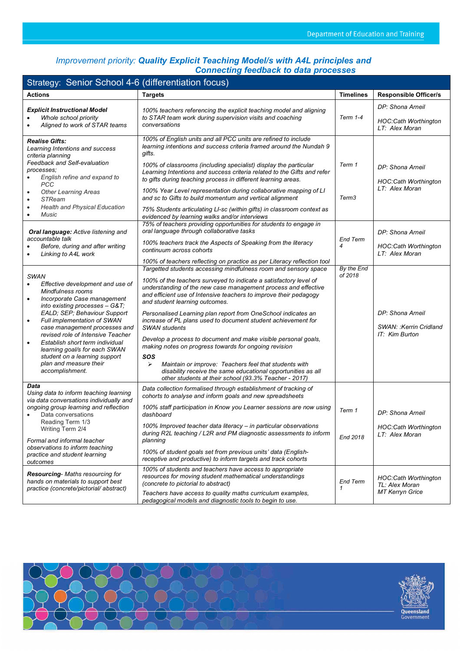### *Improvement priority: Quality Explicit Teaching Model/s with A4L principles and Connecting feedback to data processes*

| Strategy: Senior School 4-6 (differentiation focus)                                                                                                                                                                                                                                                                                                                                               |                                                                                                                                                                                                                                                                                                                                                                                                                                                                                                                                                                                                           |                       |                                                                  |  |  |
|---------------------------------------------------------------------------------------------------------------------------------------------------------------------------------------------------------------------------------------------------------------------------------------------------------------------------------------------------------------------------------------------------|-----------------------------------------------------------------------------------------------------------------------------------------------------------------------------------------------------------------------------------------------------------------------------------------------------------------------------------------------------------------------------------------------------------------------------------------------------------------------------------------------------------------------------------------------------------------------------------------------------------|-----------------------|------------------------------------------------------------------|--|--|
| <b>Actions</b>                                                                                                                                                                                                                                                                                                                                                                                    | <b>Targets</b>                                                                                                                                                                                                                                                                                                                                                                                                                                                                                                                                                                                            | <b>Timelines</b>      | <b>Responsible Officer/s</b>                                     |  |  |
| <b>Explicit Instructional Model</b><br>Whole school priority<br>Aligned to work of STAR teams                                                                                                                                                                                                                                                                                                     | 100% teachers referencing the explicit teaching model and aligning                                                                                                                                                                                                                                                                                                                                                                                                                                                                                                                                        |                       | DP: Shona Arneil                                                 |  |  |
|                                                                                                                                                                                                                                                                                                                                                                                                   | to STAR team work during supervision visits and coaching<br>conversations                                                                                                                                                                                                                                                                                                                                                                                                                                                                                                                                 | <b>Term 1-4</b>       | <b>HOC:Cath Worthington</b><br>LT: Alex Moran                    |  |  |
| <b>Realise Gifts:</b><br>Learning Intentions and success<br>criteria planning<br>Feedback and Self-evaluation                                                                                                                                                                                                                                                                                     | 100% of English units and all PCC units are refined to include<br>learning intentions and success criteria framed around the Nundah 9<br>qifts.<br>100% of classrooms (including specialist) display the particular                                                                                                                                                                                                                                                                                                                                                                                       | Term 1                | DP: Shona Arneil                                                 |  |  |
| processes;<br>English refine and expand to<br><b>PCC</b>                                                                                                                                                                                                                                                                                                                                          | Learning Intentions and success criteria related to the Gifts and refer<br>to gifts during teaching process in different learning areas.                                                                                                                                                                                                                                                                                                                                                                                                                                                                  | Term <sub>3</sub>     | <b>HOC:Cath Worthington</b>                                      |  |  |
| <b>Other Learning Areas</b><br><b>STReam</b><br>$\bullet$                                                                                                                                                                                                                                                                                                                                         | 100% Year Level representation during collaborative mapping of LI<br>and sc to Gifts to build momentum and vertical alignment                                                                                                                                                                                                                                                                                                                                                                                                                                                                             |                       | LT: Alex Moran                                                   |  |  |
| <b>Health and Physical Education</b><br>Music<br>$\bullet$                                                                                                                                                                                                                                                                                                                                        | 75% Students articulating LI-sc (within gifts) in classroom context as<br>evidenced by learning walks and/or interviews                                                                                                                                                                                                                                                                                                                                                                                                                                                                                   |                       |                                                                  |  |  |
| Oral language: Active listening and                                                                                                                                                                                                                                                                                                                                                               | 75% of teachers providing opportunities for students to engage in<br>oral language through collaborative tasks                                                                                                                                                                                                                                                                                                                                                                                                                                                                                            |                       | DP: Shona Arneil                                                 |  |  |
| accountable talk<br>Before, during and after writing<br>Linking to A4L work                                                                                                                                                                                                                                                                                                                       | 100% teachers track the Aspects of Speaking from the literacy<br>continuum across cohorts                                                                                                                                                                                                                                                                                                                                                                                                                                                                                                                 | <b>End Term</b><br>4  | <b>HOC:Cath Worthington</b><br>LT: Alex Moran                    |  |  |
|                                                                                                                                                                                                                                                                                                                                                                                                   | 100% of teachers reflecting on practice as per Literacy reflection tool                                                                                                                                                                                                                                                                                                                                                                                                                                                                                                                                   |                       |                                                                  |  |  |
| <b>SWAN</b><br>Effective development and use of<br>$\bullet$<br>Mindfulness rooms<br>Incorporate Case management<br>$\bullet$<br>into existing processes - G&T<br>EALD; SEP; Behaviour Support<br>Full implementation of SWAN<br>$\bullet$<br>case management processes and<br>revised role of Intensive Teacher<br>Establish short term individual<br>$\bullet$<br>learning goal/s for each SWAN | Targetted students accessing mindfulness room and sensory space<br>100% of the teachers surveyed to indicate a satisfactory level of<br>understanding of the new case management process and effective<br>and efficient use of Intensive teachers to improve their pedagogy<br>and student learning outcomes.<br>Personalised Learning plan report from OneSchool indicates an<br>increase of PL plans used to document student achievement for<br><b>SWAN</b> students<br>Develop a process to document and make visible personal goals,<br>making notes on progress towards for ongoing revision<br>SOS | By the End<br>of 2018 | DP: Shona Arneil<br>SWAN: : Kerrin Cridland<br>IT: Kim Burton    |  |  |
| student on a learning support<br>plan and measure their<br>accomplishment.                                                                                                                                                                                                                                                                                                                        | Maintain or improve: Teachers feel that students with<br>⋗<br>disability receive the same educational opportunities as all<br>other students at their school (93.3% Teacher - 2017)                                                                                                                                                                                                                                                                                                                                                                                                                       |                       |                                                                  |  |  |
| Data<br>Using data to inform teaching learning<br>via data conversations individually and                                                                                                                                                                                                                                                                                                         | Data collection formalised through establishment of tracking of<br>cohorts to analyse and inform goals and new spreadsheets                                                                                                                                                                                                                                                                                                                                                                                                                                                                               |                       |                                                                  |  |  |
| ongoing group learning and reflection<br>Data conversations                                                                                                                                                                                                                                                                                                                                       | 100% staff participation in Know you Learner sessions are now using<br>dashboard                                                                                                                                                                                                                                                                                                                                                                                                                                                                                                                          | Term 1                | DP: Shona Arneil                                                 |  |  |
| Reading Term 1/3<br>Writing Term 2/4<br>Formal and informal teacher                                                                                                                                                                                                                                                                                                                               | 100% Improved teacher data literacy - in particular observations<br>during R2L teaching / L2R and PM diagnostic assessments to inform<br>planning                                                                                                                                                                                                                                                                                                                                                                                                                                                         | End 2018              | <b>HOC:Cath Worthington</b><br>LT: Alex Moran                    |  |  |
| observations to inform teaching<br>practice and student learning<br>outcomes                                                                                                                                                                                                                                                                                                                      | 100% of student goals set from previous units' data (English-<br>receptive and productive) to inform targets and track cohorts                                                                                                                                                                                                                                                                                                                                                                                                                                                                            |                       |                                                                  |  |  |
| <b>Resourcing-</b> Maths resourcing for<br>hands on materials to support best<br>practice (concrete/pictorial/abstract)                                                                                                                                                                                                                                                                           | 100% of students and teachers have access to appropriate<br>resources for moving student mathematical understandings<br>(concrete to pictorial to abstract)<br>Teachers have access to quality maths curriculum examples,                                                                                                                                                                                                                                                                                                                                                                                 | <b>End Term</b><br>1  | HOC:Cath Worthington<br>TL: Alex Moran<br><b>MT Kerryn Grice</b> |  |  |
|                                                                                                                                                                                                                                                                                                                                                                                                   | pedagogical models and diagnostic tools to begin to use.                                                                                                                                                                                                                                                                                                                                                                                                                                                                                                                                                  |                       |                                                                  |  |  |



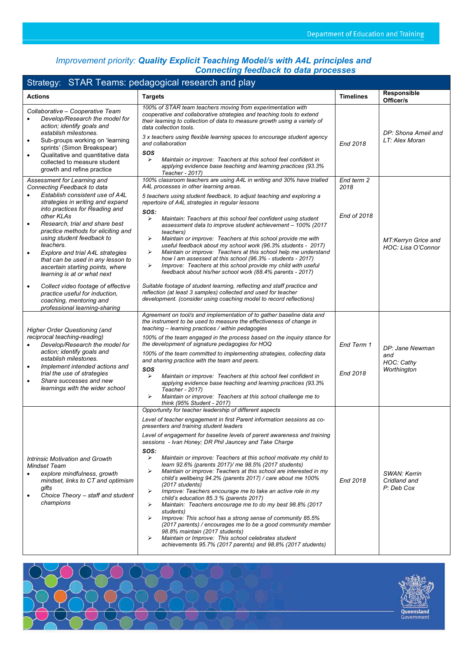#### *Improvement priority: Quality Explicit Teaching Model/s with A4L principles and Connecting feedback to data processes*

| Strategy: STAR Teams: pedagogical research and play                                                                                                                                                                                                                                                                                                                                                                                                                                                                                                                                                                                     |                                                                                                                                                                                                                                                                                                                                                                                                                                                                                                                                                                                                                                                                                                                                                                                                                                                                                                                                                                                                                                                                                                                         |                                   |                                                     |  |
|-----------------------------------------------------------------------------------------------------------------------------------------------------------------------------------------------------------------------------------------------------------------------------------------------------------------------------------------------------------------------------------------------------------------------------------------------------------------------------------------------------------------------------------------------------------------------------------------------------------------------------------------|-------------------------------------------------------------------------------------------------------------------------------------------------------------------------------------------------------------------------------------------------------------------------------------------------------------------------------------------------------------------------------------------------------------------------------------------------------------------------------------------------------------------------------------------------------------------------------------------------------------------------------------------------------------------------------------------------------------------------------------------------------------------------------------------------------------------------------------------------------------------------------------------------------------------------------------------------------------------------------------------------------------------------------------------------------------------------------------------------------------------------|-----------------------------------|-----------------------------------------------------|--|
| <b>Actions</b>                                                                                                                                                                                                                                                                                                                                                                                                                                                                                                                                                                                                                          | <b>Targets</b>                                                                                                                                                                                                                                                                                                                                                                                                                                                                                                                                                                                                                                                                                                                                                                                                                                                                                                                                                                                                                                                                                                          | <b>Timelines</b>                  | Responsible<br>Officer/s                            |  |
| Collaborative - Cooperative Team<br>Develop/Research the model for<br>$\bullet$<br>action; identify goals and<br>establish milestones.<br>Sub-groups working on 'learning<br>$\bullet$<br>sprints' (Simon Breakspear)<br>Qualitative and quantitative data<br>$\bullet$<br>collected to measure student<br>growth and refine practice                                                                                                                                                                                                                                                                                                   | 100% of STAR team teachers moving from experimentation with<br>cooperative and collaborative strategies and teaching tools to extend<br>their learning to collection of data to measure growth using a variety of<br>data collection tools.<br>3 x teachers using flexible learning spaces to encourage student agency<br>and collaboration<br>SOS<br>Maintain or improve: Teachers at this school feel confident in<br>⋗<br>applying evidence base teaching and learning practices (93.3%<br>Teacher - 2017)                                                                                                                                                                                                                                                                                                                                                                                                                                                                                                                                                                                                           | End 2018                          | DP: Shona Arneil and<br>LT: Alex Moran              |  |
| Assessment for Learning and<br>Connecting Feedback to data<br>Establish consistent use of A4L<br>$\bullet$<br>strategies in writing and expand<br>into practices for Reading and<br>other KLAs<br>Research, trial and share best<br>$\bullet$<br>practice methods for eliciting and<br>using student feedback to<br>teachers.<br>Explore and trial A4L strategies<br>$\bullet$<br>that can be used in any lesson to<br>ascertain starting points, where<br>learning is at or what next<br>Collect video footage of effective<br>$\bullet$<br>practice useful for induction,<br>coaching, mentoring and<br>professional learning-sharing | 100% classroom teachers are using A4L in writing and 30% have trialled<br>A4L processes in other learning areas.<br>5 teachers using student feedback, to adjust teaching and exploring a<br>repertoire of A4L strategies in regular lessons<br>SOS:<br>⋗<br>Maintain: Teachers at this school feel confident using student<br>assessment data to improve student achievement - 100% (2017<br>teachers)<br>Maintain or improve: Teachers at this school provide me with<br>⋗<br>useful feedback about my school work (96.3% students - 2017)<br>Maintain or improve: Teachers at this school help me understand<br>⋗<br>how I am assessed at this school (96.3% - students - 2017)<br>Improve: Teachers at this school provide my child with useful<br>⋗<br>feedback about his/her school work (88.4% parents - 2017)<br>Suitable footage of student learning, reflecting and staff practice and<br>reflection (at least 3 samples) collected and used for teacher<br>development. (consider using coaching model to record reflections)                                                                                | End term 2<br>2018<br>End of 2018 | MT:Kerryn Grice and<br>HOC: Lisa O'Connor           |  |
| <b>Higher Order Questioning (and</b><br>reciprocal teaching-reading)<br>Develop/Research the model for<br>action; identify goals and<br>establish milestones.<br>Implement intended actions and<br>$\bullet$<br>trial the use of strategies<br>Share successes and new<br>٠<br>learnings with the wider school                                                                                                                                                                                                                                                                                                                          | Agreement on tool/s and implementation of to gather baseline data and<br>the instrument to be used to measure the effectiveness of change in<br>teaching - learning practices / within pedagogies<br>100% of the team engaged in the process based on the inquiry stance for<br>the development of signature pedagogies for HOQ<br>100% of the team committed to implementing strategies, collecting data<br>and sharing practice with the team and peers.<br>SOS<br>⋗<br>Maintain or improve: Teachers at this school feel confident in<br>applying evidence base teaching and learning practices (93.3%<br>Teacher - 2017)<br>⋗<br>Maintain or improve: Teachers at this school challenge me to<br>think (95% Student - 2017)                                                                                                                                                                                                                                                                                                                                                                                         | End Term 1<br>End 2018            | DP: Jane Newman<br>and<br>HOC: Cathy<br>Worthington |  |
| Intrinsic Motivation and Growth<br><b>Mindset Team</b><br>explore mindfulness, growth<br>mindset, links to CT and optimism<br>gifts<br>Choice Theory - staff and student<br>$\bullet$<br>champions                                                                                                                                                                                                                                                                                                                                                                                                                                      | Opportunity for teacher leadership of different aspects<br>Level of teacher engagement in first Parent information sessions as co-<br>presenters and training student leaders<br>Level of engagement for baseline levels of parent awareness and training<br>sessions - Ivan Honey; DR Phil Jauncey and Take Charge<br>SOS:<br>⋗<br>Maintain or improve: Teachers at this school motivate my child to<br>learn 92.6% (parents 2017)/ me 98.5% (2017 students)<br>Maintain or improve: Teachers at this school are interested in my<br>⋗<br>child's wellbeing 94.2% (parents 2017) / care about me 100%<br>(2017 students)<br>Improve: Teachers encourage me to take an active role in my<br>⋗<br>child's education 85.3 % (parents 2017)<br>Maintain: Teachers encourage me to do my best 98.8% (2017<br>⋗<br>students)<br>Improve: This school has a strong sense of community 85.5%<br>⋗<br>(2017 parents) / encourages me to be a good community member<br>98.8% maintain (2017 students)<br>Maintain or Improve: This school celebrates student<br>⋗<br>achievements 95.7% (2017 parents) and 98.8% (2017 students) | End 2018                          | SWAN: Kerrin<br>Cridland and<br>P: Deb Cox          |  |

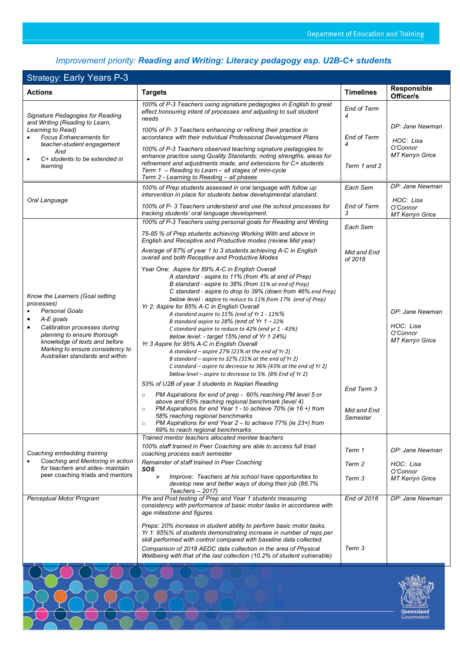Queensland<br>Government

## *Improvement priority: Reading and Writing: Literacy pedagogy esp. U2B-C+ students*

### Strategy: Early Years P-3

| onalogy. Lany rodro r o                                                                                                                                                                                    |                                                                                                                                                                                                                                                                                                                 |                         | Responsible                                     |
|------------------------------------------------------------------------------------------------------------------------------------------------------------------------------------------------------------|-----------------------------------------------------------------------------------------------------------------------------------------------------------------------------------------------------------------------------------------------------------------------------------------------------------------|-------------------------|-------------------------------------------------|
| <b>Actions</b>                                                                                                                                                                                             | <b>Targets</b>                                                                                                                                                                                                                                                                                                  | <b>Timelines</b>        | Officer/s                                       |
| Signature Pedagogies for Reading<br>and Writing (Reading to Learn,<br>Learning to Read)<br><b>Focus Enhancements for</b><br>teacher-student engagement<br>And<br>C+ students to be extended in<br>learning | 100% of P-3 Teachers using signature pedagogies in English to great<br>effect honouring intent of processes and adjusting to suit student<br>needs                                                                                                                                                              | <b>End of Term</b><br>4 |                                                 |
|                                                                                                                                                                                                            | 100% of P-3 Teachers enhancing or refining their practice in<br>accordance with their individual Professional Development Plans                                                                                                                                                                                 | <b>End of Term</b>      | DP: Jane Newman<br>HOC: Lisa                    |
|                                                                                                                                                                                                            | 100% of P-3 Teachers observed teaching signature pedagogies to<br>enhance practice using Quality Standards; noting strengths, areas for<br>refinement and adjustments made, and extensions for C+ students<br>Term 1 - Reading to Learn - all stages of mini-cycle<br>Term 2 - Learning to Reading - all phases | Term 1 and 2            | O'Connor<br>MT Kerryn Grice                     |
|                                                                                                                                                                                                            | 100% of Prep students assessed in oral language with follow up<br>intervention in place for students below developmental standard.                                                                                                                                                                              | Each Sem                | DP: Jane Newman                                 |
| Oral Language                                                                                                                                                                                              | 100% of P-3 Teachers understand and use the school processes for<br>tracking students' oral language development.                                                                                                                                                                                               | <b>End of Term</b><br>3 | HOC: Lisa<br>O'Connor<br>MT Kerryn Grice        |
|                                                                                                                                                                                                            | 100% of P-3 Teachers using personal goals for Reading and Writing                                                                                                                                                                                                                                               | Each Sem                |                                                 |
|                                                                                                                                                                                                            | 75-85 % of Prep students achieving Working With and above in<br>English and Receptive and Productive modes (review Mid year)                                                                                                                                                                                    |                         |                                                 |
|                                                                                                                                                                                                            | Average of 87% of year 1 to 3 students achieving A-C in English<br>overall and both Receptive and Productive Modes                                                                                                                                                                                              | Mid and End<br>of 2018  |                                                 |
| Know the Learners (Goal setting                                                                                                                                                                            | Year One: Aspire for 89% A-C in English Overall<br>A standard - aspire to 11% (from 4% at end of Prep)<br>B standard - aspire to 38% (from 31% at end of Prep)<br>C standard - aspire to drop to 39% (down from 46% end Prep)<br>below level - aspire to reduce to 11% from 17% (end of Prep)                   |                         |                                                 |
| processes)<br><b>Personal Goals</b><br>A-E goals<br>$\bullet$                                                                                                                                              | Yr 2: Aspire for 85% A-C in English Overall<br>A standard aspire to 15% (end of Yr 1 - 11%%<br>B standard aspire to 28% (end of Yr 1 - 22%                                                                                                                                                                      |                         | DP: Jane Newman                                 |
| Calibration processes during<br>$\bullet$<br>planning to ensure thorough<br>knowledge of texts and before<br>Marking to ensure consistency to                                                              | C standard aspire to reduce to 42% (end yr 1 - 43%)<br>Below level: - target 15% (end of Yr 1 24%)<br>Yr 3 Aspire for 95% A-C in English Overall                                                                                                                                                                |                         | HOC: Lisa<br>O'Connor<br><b>MT Kerryn Grice</b> |
| Australian standards and within                                                                                                                                                                            | A standard - aspire 27% (21% at the end of Yr 2)<br>B standard - aspire to 32% (31% at the end of Yr 2)<br>C standard - aspire to decrease to 36% (43% at the end of Yr 2)<br>below level – aspire to decrease to 5%. (8% End of Yr 2)                                                                          |                         |                                                 |
|                                                                                                                                                                                                            | 53% of U2B of year 3 students in Naplan Reading<br>PM Aspirations for end of prep - 60% reaching PM level 5 or<br>$\circ$                                                                                                                                                                                       | End Term 3              |                                                 |
|                                                                                                                                                                                                            | above and 65% reaching regional benchmark (level 4)<br>PM Aspirations for end Year 1 - to achieve 70% (ie 16 +) from<br>$\circ$<br>58% reaching regional benchmarks<br>PM Aspirations for end Year 2 - to achieve 77% (ie 23+) from<br>$\circ$<br>69% to reach regional benchmarks                              | Mid and End<br>Semester |                                                 |
|                                                                                                                                                                                                            | Trained mentor teachers allocated mentee teachers                                                                                                                                                                                                                                                               |                         |                                                 |
| Coaching embedding training                                                                                                                                                                                | 100% staff trained in Peer Coaching are able to access full triad<br>coaching process each semester                                                                                                                                                                                                             | Term 1                  | DP: Jane Newman                                 |
| Coaching and Mentoring in action<br>for teachers and aides- maintain                                                                                                                                       | Remainder of staff trained in Peer Coaching<br>sos                                                                                                                                                                                                                                                              | Term 2                  | HOC: Lisa<br>O'Connor                           |
| peer coaching triads and mentors                                                                                                                                                                           | ⋗<br>Improve: Teachers at his school have opportunities to<br>develop new and better ways of doing their job (86.7%<br>Teachers $-2017$ )                                                                                                                                                                       | Term 3                  | <b>MT Kerryn Grice</b>                          |
| Perceptual Motor Program                                                                                                                                                                                   | Pre and Post testing of Prep and Year 1 students measuring<br>consistency with performance of basic motor tasks in accordance with<br>age milestone and figures.                                                                                                                                                | End of 2018             | DP: Jane Newman                                 |
|                                                                                                                                                                                                            | Preps: 20% increase in student ability to perform basic motor tasks.<br>Yr 1: 95%% of students demonstrating increase in number of reps per<br>skill performed with control compared with baseline data collected.                                                                                              |                         |                                                 |
|                                                                                                                                                                                                            | Comparison of 2018 AEDC data collection in the area of Physical<br>Wellbeing with that of the last collection (10.2% of student vulnerable)                                                                                                                                                                     | Term 3                  |                                                 |
|                                                                                                                                                                                                            |                                                                                                                                                                                                                                                                                                                 |                         |                                                 |

W Uni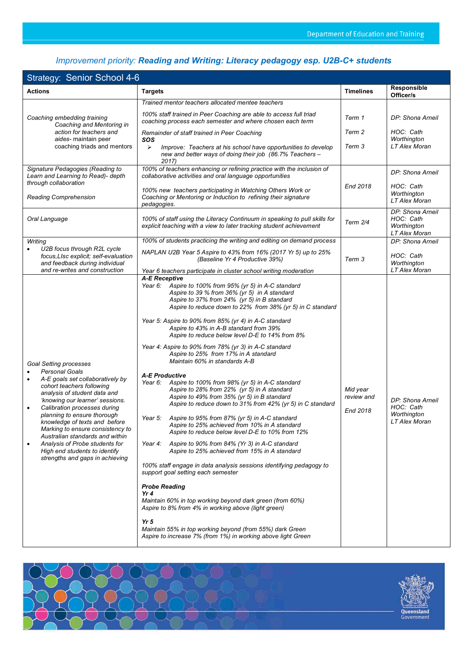## *Improvement priority: Reading and Writing: Literacy pedagogy esp. U2B-C+ students*

|                                                                                                                                                                                                                                                                                                                                                                                                                                                                                                                | <b>Strategy: Senior School 4-6</b>                                                                                                                                                                                                                                                                                                                                                                                                                                                                                                                                                                                                                                                                                                                                                                                                                                                                                                                                                                                                                                                                                                                                                                                                                                                                                                                                                                                                                                       |                                    |                                                               |  |  |
|----------------------------------------------------------------------------------------------------------------------------------------------------------------------------------------------------------------------------------------------------------------------------------------------------------------------------------------------------------------------------------------------------------------------------------------------------------------------------------------------------------------|--------------------------------------------------------------------------------------------------------------------------------------------------------------------------------------------------------------------------------------------------------------------------------------------------------------------------------------------------------------------------------------------------------------------------------------------------------------------------------------------------------------------------------------------------------------------------------------------------------------------------------------------------------------------------------------------------------------------------------------------------------------------------------------------------------------------------------------------------------------------------------------------------------------------------------------------------------------------------------------------------------------------------------------------------------------------------------------------------------------------------------------------------------------------------------------------------------------------------------------------------------------------------------------------------------------------------------------------------------------------------------------------------------------------------------------------------------------------------|------------------------------------|---------------------------------------------------------------|--|--|
| <b>Actions</b>                                                                                                                                                                                                                                                                                                                                                                                                                                                                                                 | <b>Targets</b>                                                                                                                                                                                                                                                                                                                                                                                                                                                                                                                                                                                                                                                                                                                                                                                                                                                                                                                                                                                                                                                                                                                                                                                                                                                                                                                                                                                                                                                           | <b>Timelines</b>                   | Responsible<br>Officer/s                                      |  |  |
|                                                                                                                                                                                                                                                                                                                                                                                                                                                                                                                | Trained mentor teachers allocated mentee teachers                                                                                                                                                                                                                                                                                                                                                                                                                                                                                                                                                                                                                                                                                                                                                                                                                                                                                                                                                                                                                                                                                                                                                                                                                                                                                                                                                                                                                        |                                    |                                                               |  |  |
| Coaching embedding training<br>Coaching and Mentoring in<br>action for teachers and<br>aides- maintain peer<br>coaching triads and mentors                                                                                                                                                                                                                                                                                                                                                                     | 100% staff trained in Peer Coaching are able to access full triad<br>coaching process each semester and where chosen each term                                                                                                                                                                                                                                                                                                                                                                                                                                                                                                                                                                                                                                                                                                                                                                                                                                                                                                                                                                                                                                                                                                                                                                                                                                                                                                                                           | Term 1                             | DP: Shona Arneil                                              |  |  |
|                                                                                                                                                                                                                                                                                                                                                                                                                                                                                                                | Remainder of staff trained in Peer Coaching<br>SOS                                                                                                                                                                                                                                                                                                                                                                                                                                                                                                                                                                                                                                                                                                                                                                                                                                                                                                                                                                                                                                                                                                                                                                                                                                                                                                                                                                                                                       | Term 2                             | HOC: Cath<br>Worthington                                      |  |  |
|                                                                                                                                                                                                                                                                                                                                                                                                                                                                                                                | $\blacktriangleright$<br>Improve: Teachers at his school have opportunities to develop<br>new and better ways of doing their job (86.7% Teachers -<br>2017)                                                                                                                                                                                                                                                                                                                                                                                                                                                                                                                                                                                                                                                                                                                                                                                                                                                                                                                                                                                                                                                                                                                                                                                                                                                                                                              | Term 3                             | LT Alex Moran                                                 |  |  |
| Signature Pedagogies (Reading to<br>Learn and Learning to Read)- depth<br>through collaboration                                                                                                                                                                                                                                                                                                                                                                                                                | 100% of teachers enhancing or refining practice with the inclusion of<br>collaborative activities and oral language opportunities                                                                                                                                                                                                                                                                                                                                                                                                                                                                                                                                                                                                                                                                                                                                                                                                                                                                                                                                                                                                                                                                                                                                                                                                                                                                                                                                        |                                    | DP: Shona Arneil                                              |  |  |
| <b>Reading Comprehension</b>                                                                                                                                                                                                                                                                                                                                                                                                                                                                                   | 100% new teachers participating in Watching Others Work or<br>Coaching or Mentoring or Induction to refining their signature<br>pedagogies.                                                                                                                                                                                                                                                                                                                                                                                                                                                                                                                                                                                                                                                                                                                                                                                                                                                                                                                                                                                                                                                                                                                                                                                                                                                                                                                              | End 2018                           | HOC: Cath<br>Worthington<br>LT Alex Moran                     |  |  |
| Oral Language                                                                                                                                                                                                                                                                                                                                                                                                                                                                                                  | 100% of staff using the Literacy Continuum in speaking to pull skills for<br>explicit teaching with a view to later tracking student achievement                                                                                                                                                                                                                                                                                                                                                                                                                                                                                                                                                                                                                                                                                                                                                                                                                                                                                                                                                                                                                                                                                                                                                                                                                                                                                                                         | Term 2/4                           | DP: Shona Arneil<br>HOC: Cath<br>Worthington<br>LT Alex Moran |  |  |
| Writing<br>U2B focus through R2L cycle<br>$\bullet$                                                                                                                                                                                                                                                                                                                                                                                                                                                            | 100% of students practicing the writing and editing on demand process                                                                                                                                                                                                                                                                                                                                                                                                                                                                                                                                                                                                                                                                                                                                                                                                                                                                                                                                                                                                                                                                                                                                                                                                                                                                                                                                                                                                    |                                    | DP: Shona Arneil                                              |  |  |
| focus, LIsc explicit; self-evaluation<br>and feedback during individual<br>and re-writes and construction                                                                                                                                                                                                                                                                                                                                                                                                      | NAPLAN U2B Year 5 Aspire to 43% from 16% (2017 Yr 5) up to 25%<br>(Baseline Yr 4 Productive 39%)<br>Year 6 teachers participate in cluster school writing moderation                                                                                                                                                                                                                                                                                                                                                                                                                                                                                                                                                                                                                                                                                                                                                                                                                                                                                                                                                                                                                                                                                                                                                                                                                                                                                                     | Term 3                             | HOC: Cath<br>Worthington<br>LT Alex Moran                     |  |  |
| <b>Goal Setting processes</b><br><b>Personal Goals</b><br>A-E goals set collaboratively by<br>$\bullet$<br>cohort teachers following<br>analysis of student data and<br>'knowing our learner' sessions.<br>Calibration processes during<br>$\bullet$<br>planning to ensure thorough<br>knowledge of texts and before<br>Marking to ensure consistency to<br>Australian standards and within<br>Analysis of Probe students for<br>$\bullet$<br>High end students to identify<br>strengths and gaps in achieving | A-E Receptive<br>Year 6:<br>Aspire to 100% from 95% (yr 5) in A-C standard<br>Aspire to 39 % from 36% (yr 5) in A standard<br>Aspire to 37% from 24% (yr 5) in B standard<br>Aspire to reduce down to 22% from 38% (yr 5) in C standard<br>Year 5: Aspire to 90% from 85% (yr 4) in A-C standard<br>Aspire to 43% in A-B standard from 39%<br>Aspire to reduce below level D-E to 14% from 8%<br>Year 4: Aspire to 90% from 78% (yr 3) in A-C standard<br>Aspire to 25% from 17% in A standard<br>Maintain 60% in standards A-B<br><b>A-E Productive</b><br>Year 6: Aspire to 100% from 98% (yr 5) in A-C standard<br>Aspire to 28% from 22% (yr 5) in A standard<br>Aspire to 49% from 35% (yr 5) in B standard<br>Aspire to reduce down to 31% from 42% (yr 5) in C standard<br>Year 5: Aspire to 95% from 87% (yr 5) in A-C standard<br>Aspire to 25% achieved from 10% in A standard<br>Aspire to reduce below level D-E to 10% from 12%<br>Year 4:<br>Aspire to 90% from 84% (Yr 3) in A-C standard<br>Aspire to 25% achieved from 15% in A standard<br>100% staff engage in data analysis sessions identifying pedagogy to<br>support goal setting each semester<br><b>Probe Reading</b><br>Yr 4<br>Maintain 60% in top working beyond dark green (from 60%)<br>Aspire to 8% from 4% in working above (light green)<br>Yr <sub>5</sub><br>Maintain 55% in top working beyond (from 55%) dark Green<br>Aspire to increase 7% (from 1%) in working above light Green | Mid year<br>review and<br>End 2018 | DP: Shona Arneil<br>HOC: Cath<br>Worthington<br>LT Alex Moran |  |  |

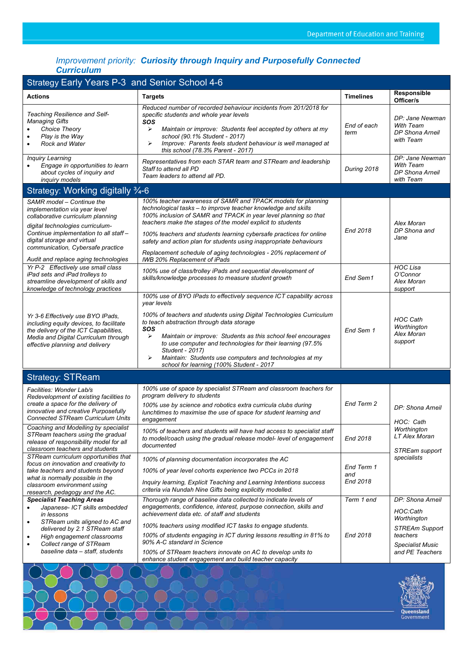### *Improvement priority: Curiosity through Inquiry and Purposefully Connected Curriculum*

| <b>Strategy Early Years P-3 and Senior School 4-6</b>                                                                                                                                                                                                                                    |                                                                                                                                                                                                                                                                                                                                                                                                                                                                                                               |                               |                                                                                                                                |  |
|------------------------------------------------------------------------------------------------------------------------------------------------------------------------------------------------------------------------------------------------------------------------------------------|---------------------------------------------------------------------------------------------------------------------------------------------------------------------------------------------------------------------------------------------------------------------------------------------------------------------------------------------------------------------------------------------------------------------------------------------------------------------------------------------------------------|-------------------------------|--------------------------------------------------------------------------------------------------------------------------------|--|
| <b>Actions</b>                                                                                                                                                                                                                                                                           | <b>Targets</b>                                                                                                                                                                                                                                                                                                                                                                                                                                                                                                | <b>Timelines</b>              | Responsible<br>Officer/s                                                                                                       |  |
| Teaching Resilience and Self-<br><b>Managing Gifts</b><br>Choice Theory<br>Play is the Way<br><b>Rock and Water</b>                                                                                                                                                                      | Reduced number of recorded behaviour incidents from 201/2018 for<br>specific students and whole year levels<br>sos<br>➤<br>Maintain or improve: Students feel accepted by others at my<br>school (90.1% Student - 2017)<br>Improve: Parents feels student behaviour is well managed at<br>➤<br>this school (78.3% Parent - 2017)                                                                                                                                                                              | End of each<br>term           | DP: Jane Newman<br><b>With Team</b><br>DP Shona Arneil<br>with Team                                                            |  |
| <b>Inquiry Learning</b><br>Engage in opportunities to learn<br>about cycles of inquiry and<br>inquiry models                                                                                                                                                                             | Representatives from each STAR team and STReam and leadership<br>Staff to attend all PD<br>Team leaders to attend all PD.                                                                                                                                                                                                                                                                                                                                                                                     | During 2018                   | DP: Jane Newman<br><b>With Team</b><br>DP Shona Arneil<br>with Team                                                            |  |
| Strategy: Working digitally 3/4-6                                                                                                                                                                                                                                                        |                                                                                                                                                                                                                                                                                                                                                                                                                                                                                                               |                               |                                                                                                                                |  |
| SAMR model – Continue the<br>implementation via year level<br>collaborative curriculum planning<br>digital technologies curriculum-<br>Continue implementation to all staff-<br>digital storage and virtual<br>communication, Cybersafe practice<br>Audit and replace aging technologies | 100% teacher awareness of SAMR and TPACK models for planning<br>technological tasks - to improve teacher knowledge and skills<br>100% inclusion of SAMR and TPACK in year level planning so that<br>teachers make the stages of the model explicit to students<br>100% teachers and students learning cybersafe practices for online<br>safety and action plan for students using inappropriate behaviours<br>Replacement schedule of aging technologies - 20% replacement of<br>IWB 20% Replacement of iPads | End 2018                      | Alex Moran<br>DP Shona and<br>Jane                                                                                             |  |
| Yr P-2 Effectively use small class<br>iPad sets and iPad trolleys to<br>streamline development of skills and<br>knowledge of technology practices                                                                                                                                        | 100% use of class/trolley iPads and sequential development of<br>skills/knowledge processes to measure student growth                                                                                                                                                                                                                                                                                                                                                                                         | End Sem1                      | <b>HOC Lisa</b><br>O'Connor<br><b>Alex Moran</b><br>support                                                                    |  |
| Yr 3-6 Effectively use BYO IPads,<br>including equity devices, to facilitate<br>the delivery of the ICT Capabilities,<br>Media and Digital Curriculum through<br>effective planning and delivery                                                                                         | 100% use of BYO IPads to effectively sequence ICT capability across<br>year levels<br>100% of teachers and students using Digital Technologies Curriculum<br>to teach abstraction through data storage<br>SOS<br>➤<br>Maintain or improve: Students as this school feel encourages<br>to use computer and technologies for their learning (97.5%<br>Student - 2017)<br>Maintain: Students use computers and technologies at my<br>➤<br>school for learning (100% Student - 2017                               | End Sem 1                     | <b>HOC Cath</b><br>Worthington<br>Alex Moran<br>support                                                                        |  |
| <b>Strategy: STReam</b>                                                                                                                                                                                                                                                                  |                                                                                                                                                                                                                                                                                                                                                                                                                                                                                                               |                               |                                                                                                                                |  |
| Facilities: Wonder Lab/s<br>Redevelopment of existing facilities to<br>create a space for the delivery of<br>innovative and creative Purposefully<br><b>Connected STReam Curriculum Units</b>                                                                                            | 100% use of space by specialist STReam and classroom teachers for<br>program delivery to students<br>100% use by science and robotics extra curricula clubs during<br>lunchtimes to maximise the use of space for student learning and<br>engagement                                                                                                                                                                                                                                                          | End Term 2                    | DP: Shona Arneil<br>HOC: Cath                                                                                                  |  |
| Coaching and Modelling by specialist<br>STReam teachers using the gradual<br>release of responsibility model for all<br>classroom teachers and students                                                                                                                                  | 100% of teachers and students will have had access to specialist staff<br>to model/coach using the gradual release model-level of engagement<br>documented                                                                                                                                                                                                                                                                                                                                                    | End 2018                      | Worthington<br>LT Alex Moran<br>STREam support                                                                                 |  |
| STReam curriculum opportunities that<br>focus on innovation and creativity to<br>take teachers and students beyond<br>what is normally possible in the<br>classroom environment using<br>research, pedagogy and the AC.                                                                  | 100% of planning documentation incorporates the AC<br>100% of year level cohorts experience two PCCs in 2018<br>Inquiry learning, Explicit Teaching and Learning Intentions success<br>criteria via Nundah Nine Gifts being explicitly modelled.                                                                                                                                                                                                                                                              | End Term 1<br>and<br>End 2018 | specialists                                                                                                                    |  |
| <b>Specialist Teaching Areas</b><br>Japanese- ICT skills embedded<br>in lessons<br>STReam units aligned to AC and<br>$\bullet$<br>delivered by 2.1 STReam staff<br>High engagement classrooms<br>$\bullet$<br>Collect range of STReam<br>$\bullet$<br>baseline data - staff, students    | Thorough range of baseline data collected to indicate levels of<br>engagements, confidence, interest, purpose connection, skills and<br>achievement data etc. of staff and students<br>100% teachers using modified ICT tasks to engage students.<br>100% of students engaging in ICT during lessons resulting in 81% to<br>90% A-C standard in Science<br>100% of STReam teachers innovate on AC to develop units to                                                                                         | Term 1 end<br>End 2018        | DP: Shona Arneil<br>HOC:Cath<br>Worthington<br><b>STREAm Support</b><br>teachers<br><b>Specialist Music</b><br>and PE Teachers |  |
|                                                                                                                                                                                                                                                                                          | enhance student engagement and build teacher capacity                                                                                                                                                                                                                                                                                                                                                                                                                                                         |                               |                                                                                                                                |  |